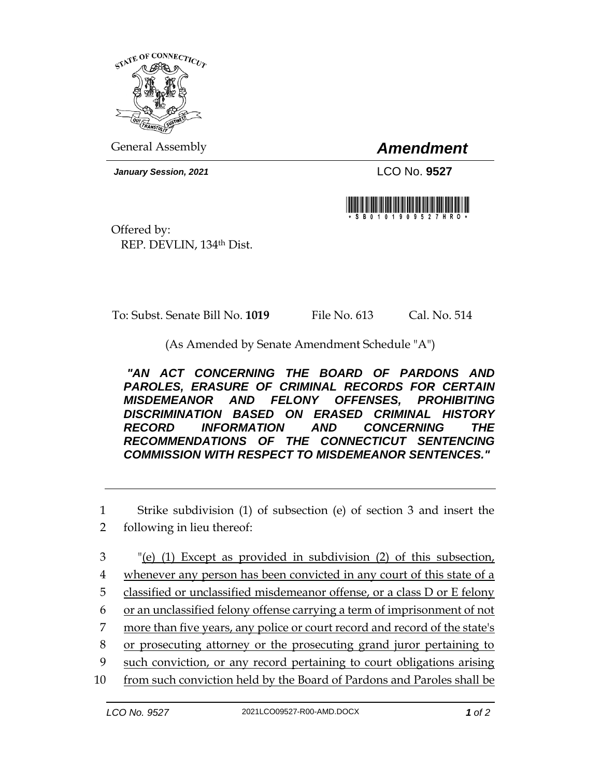

General Assembly *Amendment*

*January Session, 2021* LCO No. **9527**



Offered by: REP. DEVLIN, 134th Dist.

To: Subst. Senate Bill No. **1019** File No. 613 Cal. No. 514

(As Amended by Senate Amendment Schedule "A")

*"AN ACT CONCERNING THE BOARD OF PARDONS AND PAROLES, ERASURE OF CRIMINAL RECORDS FOR CERTAIN MISDEMEANOR AND FELONY OFFENSES, PROHIBITING DISCRIMINATION BASED ON ERASED CRIMINAL HISTORY RECORD INFORMATION AND CONCERNING THE RECOMMENDATIONS OF THE CONNECTICUT SENTENCING COMMISSION WITH RESPECT TO MISDEMEANOR SENTENCES."* 

1 Strike subdivision (1) of subsection (e) of section 3 and insert the

- 2 following in lieu thereof:
- 3 "(e) (1) Except as provided in subdivision (2) of this subsection,
- 4 whenever any person has been convicted in any court of this state of a
- 5 classified or unclassified misdemeanor offense, or a class D or E felony
- 6 or an unclassified felony offense carrying a term of imprisonment of not
- 7 more than five years, any police or court record and record of the state's
- 8 or prosecuting attorney or the prosecuting grand juror pertaining to
- 9 such conviction, or any record pertaining to court obligations arising
- 10 from such conviction held by the Board of Pardons and Paroles shall be